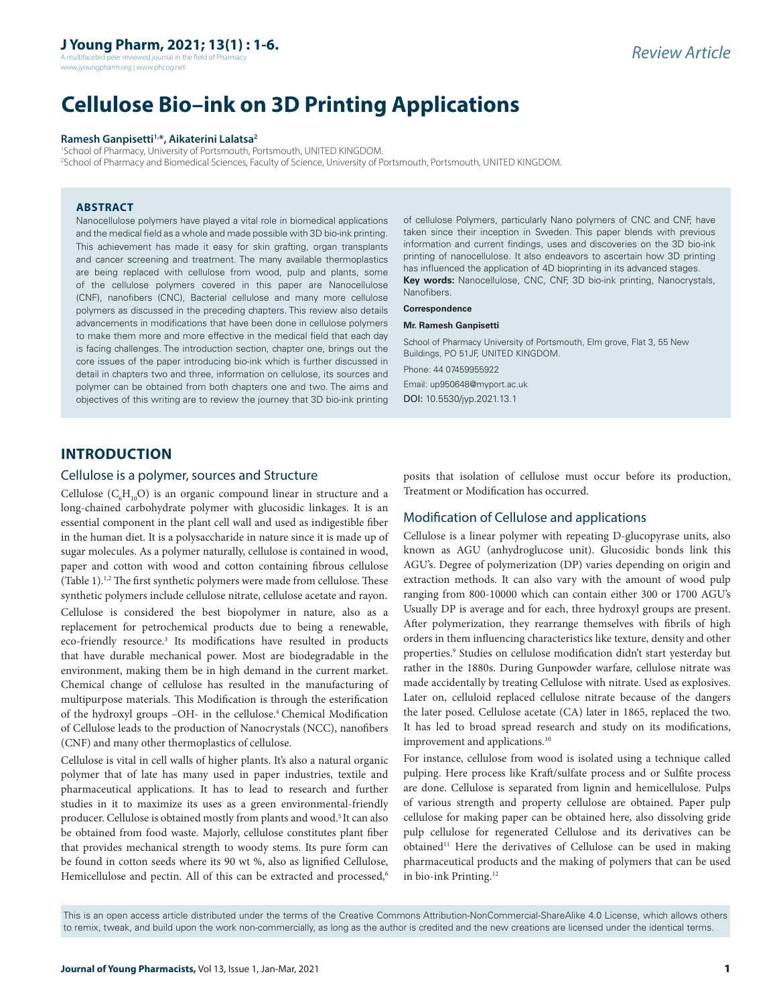A multifaceted peer reviewed journal in the field of Pharmacy www.jyoungpharm.org | www.phcog.net

# **Cellulose Bio–ink on 3D Printing Applications**

#### **Ramesh Ganpisetti1,\*, Aikaterini Lalatsa2**

1 School of Pharmacy, University of Portsmouth, Portsmouth, UNITED KINGDOM. 2 School of Pharmacy and Biomedical Sciences, Faculty of Science, University of Portsmouth, Portsmouth, UNITED KINGDOM.

## **ABSTRACT**

Nanocellulose polymers have played a vital role in biomedical applications and the medical field as a whole and made possible with 3D bio-ink printing. This achievement has made it easy for skin grafting, organ transplants and cancer screening and treatment. The many available thermoplastics are being replaced with cellulose from wood, pulp and plants, some of the cellulose polymers covered in this paper are Nanocellulose (CNF), nanofibers (CNC), Bacterial cellulose and many more cellulose polymers as discussed in the preceding chapters. This review also details advancements in modifications that have been done in cellulose polymers to make them more and more effective in the medical field that each day is facing challenges. The introduction section, chapter one, brings out the core issues of the paper introducing bio-ink which is further discussed in detail in chapters two and three, information on cellulose, its sources and polymer can be obtained from both chapters one and two. The aims and objectives of this writing are to review the journey that 3D bio-ink printing of cellulose Polymers, particularly Nano polymers of CNC and CNF, have taken since their inception in Sweden. This paper blends with previous information and current findings, uses and discoveries on the 3D bio-ink printing of nanocellulose. It also endeavors to ascertain how 3D printing has influenced the application of 4D bioprinting in its advanced stages. **Key words:** Nanocellulose, CNC, CNF, 3D bio-ink printing, Nanocrystals, Nanofibers.

#### **Correspondence**

#### **Mr. Ramesh Ganpisetti**

School of Pharmacy University of Portsmouth, Elm grove, Flat 3, 55 New Buildings, PO 51JF, UNITED KINGDOM. Phone: 44 07459955922

Email: up950648@myport.ac.uk DOI: 10.5530/jyp.2021.13.1

# **INTRODUCTION**

## Cellulose is a polymer, sources and Structure

Cellulose  $(C_6H_{10}O)$  is an organic compound linear in structure and a long-chained carbohydrate polymer with glucosidic linkages. It is an essential component in the plant cell wall and used as indigestible fiber in the human diet. It is a polysaccharide in nature since it is made up of sugar molecules. As a polymer naturally, cellulose is contained in wood, paper and cotton with wood and cotton containing fibrous cellulose (Table 1).<sup>1,2</sup> The first synthetic polymers were made from cellulose. These synthetic polymers include cellulose nitrate, cellulose acetate and rayon.

Cellulose is considered the best biopolymer in nature, also as a replacement for petrochemical products due to being a renewable, eco-friendly resource.<sup>3</sup> Its modifications have resulted in products that have durable mechanical power. Most are biodegradable in the environment, making them be in high demand in the current market. Chemical change of cellulose has resulted in the manufacturing of multipurpose materials. This Modification is through the esterification of the hydroxyl groups –OH- in the cellulose.4 Chemical Modification of Cellulose leads to the production of Nanocrystals (NCC), nanofibers (CNF) and many other thermoplastics of cellulose.

Cellulose is vital in cell walls of higher plants. It's also a natural organic polymer that of late has many used in paper industries, textile and pharmaceutical applications. It has to lead to research and further studies in it to maximize its uses as a green environmental-friendly producer. Cellulose is obtained mostly from plants and wood.<sup>5</sup> It can also be obtained from food waste. Majorly, cellulose constitutes plant fiber that provides mechanical strength to woody stems. Its pure form can be found in cotton seeds where its 90 wt %, also as lignified Cellulose, Hemicellulose and pectin. All of this can be extracted and processed,<sup>6</sup>

posits that isolation of cellulose must occur before its production, Treatment or Modification has occurred.

## Modification of Cellulose and applications

Cellulose is a linear polymer with repeating D-glucopyrase units, also known as AGU (anhydroglucose unit). Glucosidic bonds link this AGU's. Degree of polymerization (DP) varies depending on origin and extraction methods. It can also vary with the amount of wood pulp ranging from 800-10000 which can contain either 300 or 1700 AGU's Usually DP is average and for each, three hydroxyl groups are present. After polymerization, they rearrange themselves with fibrils of high orders in them influencing characteristics like texture, density and other properties. <sup>9</sup> Studies on cellulose modification didn't start yesterday but rather in the 1880s. During Gunpowder warfare, cellulose nitrate was made accidentally by treating Cellulose with nitrate. Used as explosives. Later on, celluloid replaced cellulose nitrate because of the dangers the later posed. Cellulose acetate (CA) later in 1865, replaced the two. It has led to broad spread research and study on its modifications, improvement and applications.<sup>10</sup>

For instance, cellulose from wood is isolated using a technique called pulping. Here process like Kraft/sulfate process and or Sulfite process are done. Cellulose is separated from lignin and hemicellulose. Pulps of various strength and property cellulose are obtained. Paper pulp cellulose for making paper can be obtained here, also dissolving gride pulp cellulose for regenerated Cellulose and its derivatives can be  $obtained<sup>11</sup>$  Here the derivatives of Cellulose can be used in making pharmaceutical products and the making of polymers that can be used in bio-ink Printing.12

This is an open access article distributed under the terms of the Creative Commons Attribution-NonCommercial-ShareAlike 4.0 License, which allows others to remix, tweak, and build upon the work non-commercially, as long as the author is credited and the new creations are licensed under the identical terms.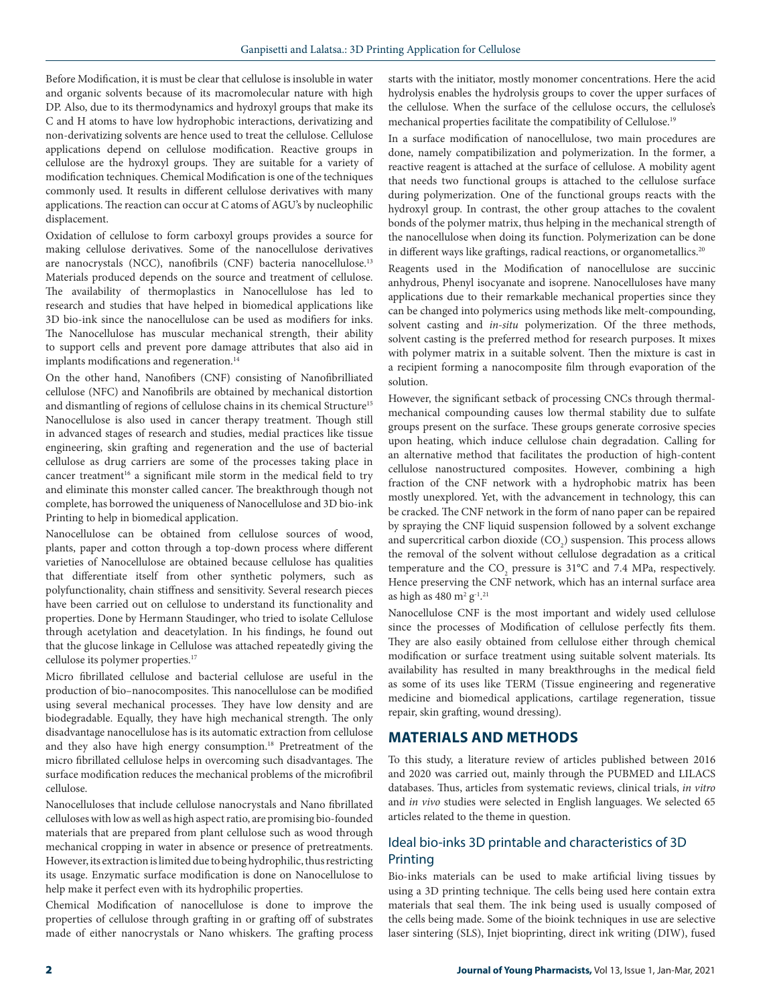Before Modification, it is must be clear that cellulose is insoluble in water and organic solvents because of its macromolecular nature with high DP. Also, due to its thermodynamics and hydroxyl groups that make its C and H atoms to have low hydrophobic interactions, derivatizing and non-derivatizing solvents are hence used to treat the cellulose. Cellulose applications depend on cellulose modification. Reactive groups in cellulose are the hydroxyl groups. They are suitable for a variety of modification techniques. Chemical Modification is one of the techniques commonly used. It results in different cellulose derivatives with many applications. The reaction can occur at C atoms of AGU's by nucleophilic displacement.

Oxidation of cellulose to form carboxyl groups provides a source for making cellulose derivatives. Some of the nanocellulose derivatives are nanocrystals (NCC), nanofibrils (CNF) bacteria nanocellulose.13 Materials produced depends on the source and treatment of cellulose. The availability of thermoplastics in Nanocellulose has led to research and studies that have helped in biomedical applications like 3D bio-ink since the nanocellulose can be used as modifiers for inks. The Nanocellulose has muscular mechanical strength, their ability to support cells and prevent pore damage attributes that also aid in implants modifications and regeneration.<sup>14</sup>

On the other hand, Nanofibers (CNF) consisting of Nanofibrilliated cellulose (NFC) and Nanofibrils are obtained by mechanical distortion and dismantling of regions of cellulose chains in its chemical Structure<sup>15</sup> Nanocellulose is also used in cancer therapy treatment. Though still in advanced stages of research and studies, medial practices like tissue engineering, skin grafting and regeneration and the use of bacterial cellulose as drug carriers are some of the processes taking place in cancer treatment<sup>16</sup> a significant mile storm in the medical field to try and eliminate this monster called cancer. The breakthrough though not complete, has borrowed the uniqueness of Nanocellulose and 3D bio-ink Printing to help in biomedical application.

Nanocellulose can be obtained from cellulose sources of wood, plants, paper and cotton through a top-down process where different varieties of Nanocellulose are obtained because cellulose has qualities that differentiate itself from other synthetic polymers, such as polyfunctionality, chain stiffness and sensitivity. Several research pieces have been carried out on cellulose to understand its functionality and properties. Done by Hermann Staudinger, who tried to isolate Cellulose through acetylation and deacetylation. In his findings, he found out that the glucose linkage in Cellulose was attached repeatedly giving the cellulose its polymer properties.17

Micro fibrillated cellulose and bacterial cellulose are useful in the production of bio–nanocomposites. This nanocellulose can be modified using several mechanical processes. They have low density and are biodegradable. Equally, they have high mechanical strength. The only disadvantage nanocellulose has is its automatic extraction from cellulose and they also have high energy consumption.<sup>18</sup> Pretreatment of the micro fibrillated cellulose helps in overcoming such disadvantages. The surface modification reduces the mechanical problems of the microfibril cellulose.

Nanocelluloses that include cellulose nanocrystals and Nano fibrillated celluloses with low as well as high aspect ratio, are promising bio-founded materials that are prepared from plant cellulose such as wood through mechanical cropping in water in absence or presence of pretreatments. However, its extraction is limited due to being hydrophilic, thus restricting its usage. Enzymatic surface modification is done on Nanocellulose to help make it perfect even with its hydrophilic properties.

Chemical Modification of nanocellulose is done to improve the properties of cellulose through grafting in or grafting off of substrates made of either nanocrystals or Nano whiskers. The grafting process starts with the initiator, mostly monomer concentrations. Here the acid hydrolysis enables the hydrolysis groups to cover the upper surfaces of the cellulose. When the surface of the cellulose occurs, the cellulose's mechanical properties facilitate the compatibility of Cellulose.19

In a surface modification of nanocellulose, two main procedures are done, namely compatibilization and polymerization. In the former, a reactive reagent is attached at the surface of cellulose. A mobility agent that needs two functional groups is attached to the cellulose surface during polymerization. One of the functional groups reacts with the hydroxyl group. In contrast, the other group attaches to the covalent bonds of the polymer matrix, thus helping in the mechanical strength of the nanocellulose when doing its function. Polymerization can be done in different ways like graftings, radical reactions, or organometallics.<sup>20</sup>

Reagents used in the Modification of nanocellulose are succinic anhydrous, Phenyl isocyanate and isoprene. Nanocelluloses have many applications due to their remarkable mechanical properties since they can be changed into polymerics using methods like melt-compounding, solvent casting and *in-situ* polymerization. Of the three methods, solvent casting is the preferred method for research purposes. It mixes with polymer matrix in a suitable solvent. Then the mixture is cast in a recipient forming a nanocomposite film through evaporation of the solution.

However, the significant setback of processing CNCs through thermalmechanical compounding causes low thermal stability due to sulfate groups present on the surface. These groups generate corrosive species upon heating, which induce cellulose chain degradation. Calling for an alternative method that facilitates the production of high-content cellulose nanostructured composites. However, combining a high fraction of the CNF network with a hydrophobic matrix has been mostly unexplored. Yet, with the advancement in technology, this can be cracked. The CNF network in the form of nano paper can be repaired by spraying the CNF liquid suspension followed by a solvent exchange and supercritical carbon dioxide  $({\rm CO_2})$  suspension. This process allows the removal of the solvent without cellulose degradation as a critical temperature and the  $CO_2$  pressure is 31°C and 7.4 MPa, respectively. Hence preserving the CNF network, which has an internal surface area as high as  $480 \mathrm{m^2 g^{1,21}}$ 

Nanocellulose CNF is the most important and widely used cellulose since the processes of Modification of cellulose perfectly fits them. They are also easily obtained from cellulose either through chemical modification or surface treatment using suitable solvent materials. Its availability has resulted in many breakthroughs in the medical field as some of its uses like TERM (Tissue engineering and regenerative medicine and biomedical applications, cartilage regeneration, tissue repair, skin grafting, wound dressing).

## **MATERIALS AND METHODS**

To this study, a literature review of articles published between 2016 and 2020 was carried out, mainly through the PUBMED and LILACS databases. Thus, articles from systematic reviews, clinical trials, *in vitro* and *in vivo* studies were selected in English languages. We selected 65 articles related to the theme in question.

# Ideal bio-inks 3D printable and characteristics of 3D Printing

Bio-inks materials can be used to make artificial living tissues by using a 3D printing technique. The cells being used here contain extra materials that seal them. The ink being used is usually composed of the cells being made. Some of the bioink techniques in use are selective laser sintering (SLS), Injet bioprinting, direct ink writing (DIW), fused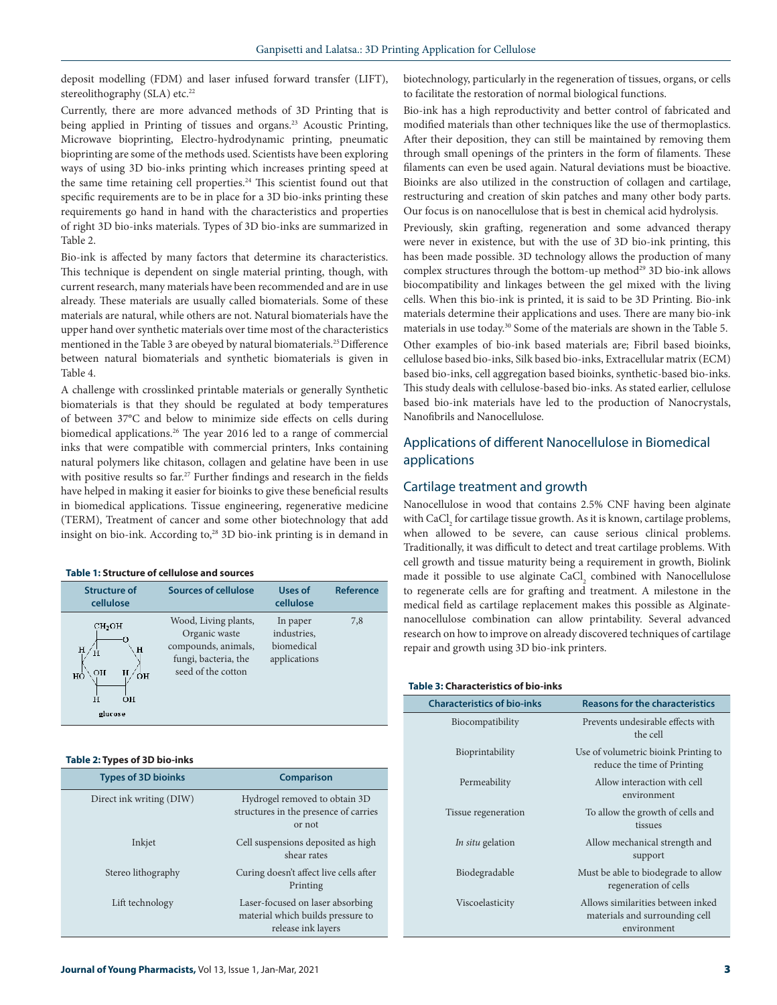deposit modelling (FDM) and laser infused forward transfer (LIFT), stereolithography (SLA) etc.<sup>22</sup>

Currently, there are more advanced methods of 3D Printing that is being applied in Printing of tissues and organs.<sup>23</sup> Acoustic Printing, Microwave bioprinting, Electro-hydrodynamic printing, pneumatic bioprinting are some of the methods used. Scientists have been exploring ways of using 3D bio-inks printing which increases printing speed at the same time retaining cell properties.<sup>24</sup> This scientist found out that specific requirements are to be in place for a 3D bio-inks printing these requirements go hand in hand with the characteristics and properties of right 3D bio-inks materials. Types of 3D bio-inks are summarized in Table 2.

Bio-ink is affected by many factors that determine its characteristics. This technique is dependent on single material printing, though, with current research, many materials have been recommended and are in use already. These materials are usually called biomaterials. Some of these materials are natural, while others are not. Natural biomaterials have the upper hand over synthetic materials over time most of the characteristics mentioned in the Table 3 are obeyed by natural biomaterials.25 Difference between natural biomaterials and synthetic biomaterials is given in Table 4.

A challenge with crosslinked printable materials or generally Synthetic biomaterials is that they should be regulated at body temperatures of between 37°C and below to minimize side effects on cells during biomedical applications.<sup>26</sup> The year 2016 led to a range of commercial inks that were compatible with commercial printers, Inks containing natural polymers like chitason, collagen and gelatine have been in use with positive results so far.<sup>27</sup> Further findings and research in the fields have helped in making it easier for bioinks to give these beneficial results in biomedical applications. Tissue engineering, regenerative medicine (TERM), Treatment of cancer and some other biotechnology that add insight on bio-ink. According to,<sup>28</sup> 3D bio-ink printing is in demand in

#### **Table 1: Structure of cellulose and sources**

| <b>Structure of</b><br>cellulose                                                    | <b>Sources of cellulose</b>                                                                                | Uses of<br>cellulose                                  | <b>Reference</b> |
|-------------------------------------------------------------------------------------|------------------------------------------------------------------------------------------------------------|-------------------------------------------------------|------------------|
| CH <sub>2</sub> OH<br>Ω<br>H<br>н<br>Ĥ<br>н<br>OH<br>ÓН<br>HÒ<br>Ĥ<br>ΩH<br>glucose | Wood, Living plants,<br>Organic waste<br>compounds, animals,<br>fungi, bacteria, the<br>seed of the cotton | In paper<br>industries,<br>biomedical<br>applications | 7,8              |

#### **Table 2: Types of 3D bio-inks**

| <b>Types of 3D bioinks</b> | <b>Comparison</b>                                                                           |
|----------------------------|---------------------------------------------------------------------------------------------|
| Direct ink writing (DIW)   | Hydrogel removed to obtain 3D<br>structures in the presence of carries<br>or not            |
| Inkjet                     | Cell suspensions deposited as high<br>shear rates                                           |
| Stereo lithography         | Curing doesn't affect live cells after<br>Printing                                          |
| Lift technology            | Laser-focused on laser absorbing<br>material which builds pressure to<br>release ink layers |

biotechnology, particularly in the regeneration of tissues, organs, or cells to facilitate the restoration of normal biological functions.

Bio-ink has a high reproductivity and better control of fabricated and modified materials than other techniques like the use of thermoplastics. After their deposition, they can still be maintained by removing them through small openings of the printers in the form of filaments. These filaments can even be used again. Natural deviations must be bioactive. Bioinks are also utilized in the construction of collagen and cartilage, restructuring and creation of skin patches and many other body parts. Our focus is on nanocellulose that is best in chemical acid hydrolysis.

Previously, skin grafting, regeneration and some advanced therapy were never in existence, but with the use of 3D bio-ink printing, this has been made possible. 3D technology allows the production of many complex structures through the bottom-up method<sup>29</sup> 3D bio-ink allows biocompatibility and linkages between the gel mixed with the living cells. When this bio-ink is printed, it is said to be 3D Printing. Bio-ink materials determine their applications and uses. There are many bio-ink materials in use today.30 Some of the materials are shown in the Table 5. Other examples of bio-ink based materials are; Fibril based bioinks, cellulose based bio-inks, Silk based bio-inks, Extracellular matrix (ECM) based bio-inks, cell aggregation based bioinks, synthetic-based bio-inks. This study deals with cellulose-based bio-inks. As stated earlier, cellulose based bio-ink materials have led to the production of Nanocrystals, Nanofibrils and Nanocellulose.

# Applications of different Nanocellulose in Biomedical applications

#### Cartilage treatment and growth

Nanocellulose in wood that contains 2.5% CNF having been alginate with  $\mathrm{CaCl}_{_2}$  for cartilage tissue growth. As it is known, cartilage problems, when allowed to be severe, can cause serious clinical problems. Traditionally, it was difficult to detect and treat cartilage problems. With cell growth and tissue maturity being a requirement in growth, Biolink made it possible to use alginate  $\mathrm{CaCl}_{2}$  combined with Nanocellulose to regenerate cells are for grafting and treatment. A milestone in the medical field as cartilage replacement makes this possible as Alginatenanocellulose combination can allow printability. Several advanced research on how to improve on already discovered techniques of cartilage repair and growth using 3D bio-ink printers.

#### **Table 3: Characteristics of bio-inks**

| <b>Characteristics of bio-inks</b> | <b>Reasons for the characteristics</b>                                             |  |  |
|------------------------------------|------------------------------------------------------------------------------------|--|--|
| Biocompatibility                   | Prevents undesirable effects with<br>the cell                                      |  |  |
| Bioprintability                    | Use of volumetric bioink Printing to<br>reduce the time of Printing                |  |  |
| Permeability                       | Allow interaction with cell<br>environment                                         |  |  |
| Tissue regeneration                | To allow the growth of cells and<br>tissues                                        |  |  |
| <i>In situ</i> gelation            | Allow mechanical strength and<br>support                                           |  |  |
| Biodegradable                      | Must be able to biodegrade to allow<br>regeneration of cells                       |  |  |
| Viscoelasticity                    | Allows similarities between inked<br>materials and surrounding cell<br>environment |  |  |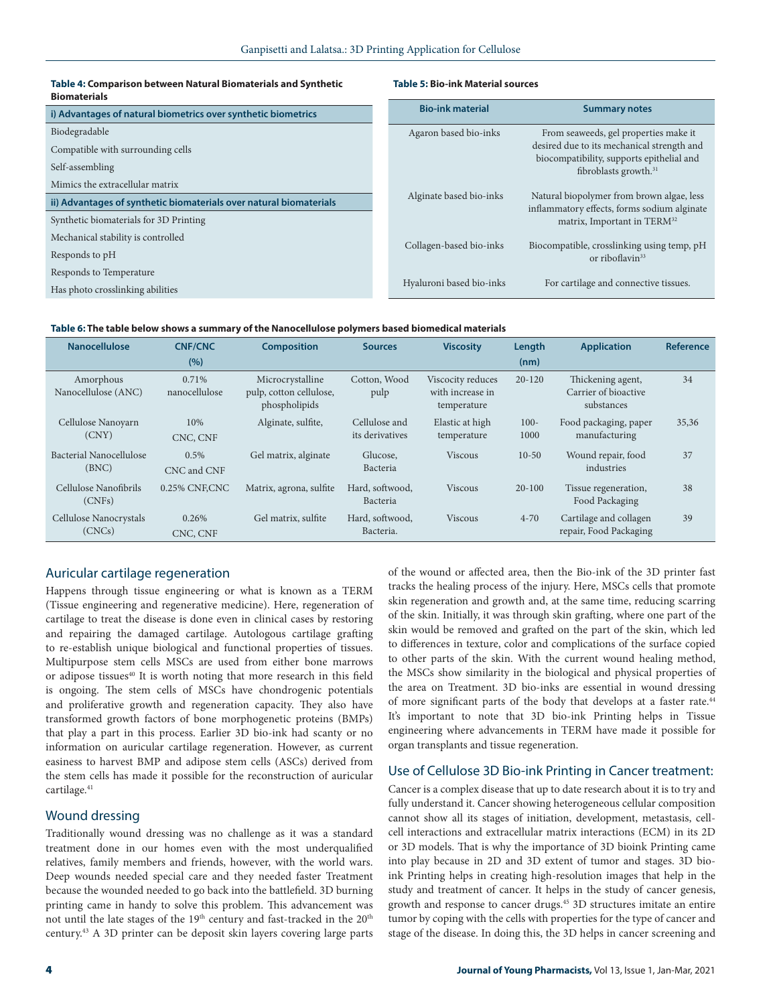#### **Table 4: Comparison between Natural Biomaterials and Synthetic Biomaterials**

#### **Table 5: Bio-ink Material sources**

| i) Advantages of natural biometrics over synthetic biometrics      | <b>Bio-ink material</b>  | <b>Summary notes</b>                                                                     |  |  |
|--------------------------------------------------------------------|--------------------------|------------------------------------------------------------------------------------------|--|--|
| Biodegradable                                                      | Agaron based bio-inks    | From seaweeds, gel properties make it                                                    |  |  |
| Compatible with surrounding cells                                  |                          | desired due to its mechanical strength and                                               |  |  |
| Self-assembling                                                    |                          | biocompatibility, supports epithelial and<br>fibroblasts growth. <sup>31</sup>           |  |  |
| Mimics the extracellular matrix                                    |                          |                                                                                          |  |  |
| ii) Advantages of synthetic biomaterials over natural biomaterials | Alginate based bio-inks  | Natural biopolymer from brown algae, less<br>inflammatory effects, forms sodium alginate |  |  |
| Synthetic biomaterials for 3D Printing                             |                          | matrix, Important in TERM <sup>32</sup>                                                  |  |  |
| Mechanical stability is controlled                                 | Collagen-based bio-inks  | Biocompatible, crosslinking using temp, pH                                               |  |  |
| Responds to pH                                                     |                          | or riboflavin <sup>33</sup>                                                              |  |  |
| Responds to Temperature                                            |                          |                                                                                          |  |  |
| Has photo crosslinking abilities                                   | Hyaluroni based bio-inks | For cartilage and connective tissues.                                                    |  |  |
|                                                                    |                          |                                                                                          |  |  |

## **Table 6: The table below shows a summary of the Nanocellulose polymers based biomedical materials**

| <b>Nanocellulose</b>             | <b>CNF/CNC</b><br>(%)  | <b>Composition</b>                                           | <b>Sources</b>                   | <b>Viscosity</b>                                     | Length<br>(nm)  | <b>Application</b>                                      | <b>Reference</b> |
|----------------------------------|------------------------|--------------------------------------------------------------|----------------------------------|------------------------------------------------------|-----------------|---------------------------------------------------------|------------------|
| Amorphous<br>Nanocellulose (ANC) | 0.71%<br>nanocellulose | Microcrystalline<br>pulp, cotton cellulose,<br>phospholipids | Cotton, Wood<br>pulp             | Viscocity reduces<br>with increase in<br>temperature | $20 - 120$      | Thickening agent,<br>Carrier of bioactive<br>substances | 34               |
| Cellulose Nanoyarn<br>(CNY)      | 10%<br>CNC, CNF        | Alginate, sulfite,                                           | Cellulose and<br>its derivatives | Elastic at high<br>temperature                       | $100 -$<br>1000 | Food packaging, paper<br>manufacturing                  | 35,36            |
| Bacterial Nanocellulose<br>(BNC) | $0.5\%$<br>CNC and CNF | Gel matrix, alginate                                         | Glucose,<br>Bacteria             | <b>Viscous</b>                                       | $10-50$         | Wound repair, food<br>industries                        | 37               |
| Cellulose Nanofibrils<br>(CNFs)  | 0.25% CNF.CNC          | Matrix, agrona, sulfite                                      | Hard, softwood,<br>Bacteria      | <b>Viscous</b>                                       | $20-100$        | Tissue regeneration,<br>Food Packaging                  | 38               |
| Cellulose Nanocrystals<br>(CNCs) | 0.26%<br>CNC, CNF      | Gel matrix, sulfite                                          | Hard, softwood,<br>Bacteria.     | <b>Viscous</b>                                       | $4 - 70$        | Cartilage and collagen<br>repair, Food Packaging        | 39               |

# Auricular cartilage regeneration

Happens through tissue engineering or what is known as a TERM (Tissue engineering and regenerative medicine). Here, regeneration of cartilage to treat the disease is done even in clinical cases by restoring and repairing the damaged cartilage. Autologous cartilage grafting to re-establish unique biological and functional properties of tissues. Multipurpose stem cells MSCs are used from either bone marrows or adipose tissues<sup>40</sup> It is worth noting that more research in this field is ongoing. The stem cells of MSCs have chondrogenic potentials and proliferative growth and regeneration capacity. They also have transformed growth factors of bone morphogenetic proteins (BMPs) that play a part in this process. Earlier 3D bio-ink had scanty or no information on auricular cartilage regeneration. However, as current easiness to harvest BMP and adipose stem cells (ASCs) derived from the stem cells has made it possible for the reconstruction of auricular cartilage.<sup>41</sup>

# Wound dressing

Traditionally wound dressing was no challenge as it was a standard treatment done in our homes even with the most underqualified relatives, family members and friends, however, with the world wars. Deep wounds needed special care and they needed faster Treatment because the wounded needed to go back into the battlefield. 3D burning printing came in handy to solve this problem. This advancement was not until the late stages of the 19<sup>th</sup> century and fast-tracked in the 20<sup>th</sup> century.43 A 3D printer can be deposit skin layers covering large parts

of the wound or affected area, then the Bio-ink of the 3D printer fast tracks the healing process of the injury. Here, MSCs cells that promote skin regeneration and growth and, at the same time, reducing scarring of the skin. Initially, it was through skin grafting, where one part of the skin would be removed and grafted on the part of the skin, which led to differences in texture, color and complications of the surface copied to other parts of the skin. With the current wound healing method, the MSCs show similarity in the biological and physical properties of the area on Treatment. 3D bio-inks are essential in wound dressing of more significant parts of the body that develops at a faster rate.44 It's important to note that 3D bio-ink Printing helps in Tissue engineering where advancements in TERM have made it possible for organ transplants and tissue regeneration.

## Use of Cellulose 3D Bio-ink Printing in Cancer treatment:

Cancer is a complex disease that up to date research about it is to try and fully understand it. Cancer showing heterogeneous cellular composition cannot show all its stages of initiation, development, metastasis, cellcell interactions and extracellular matrix interactions (ECM) in its 2D or 3D models. That is why the importance of 3D bioink Printing came into play because in 2D and 3D extent of tumor and stages. 3D bioink Printing helps in creating high-resolution images that help in the study and treatment of cancer. It helps in the study of cancer genesis, growth and response to cancer drugs.45 3D structures imitate an entire tumor by coping with the cells with properties for the type of cancer and stage of the disease. In doing this, the 3D helps in cancer screening and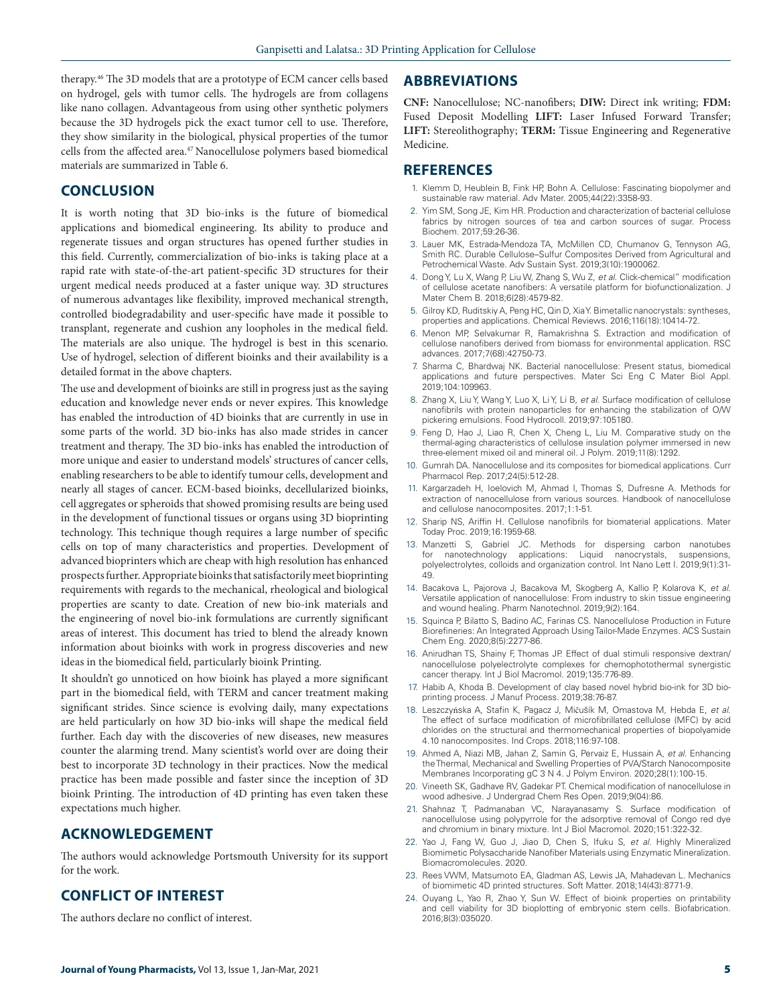therapy.46 The 3D models that are a prototype of ECM cancer cells based on hydrogel, gels with tumor cells. The hydrogels are from collagens like nano collagen. Advantageous from using other synthetic polymers because the 3D hydrogels pick the exact tumor cell to use. Therefore, they show similarity in the biological, physical properties of the tumor cells from the affected area.<sup>47</sup> Nanocellulose polymers based biomedical materials are summarized in Table 6.

# **CONCLUSION**

It is worth noting that 3D bio-inks is the future of biomedical applications and biomedical engineering. Its ability to produce and regenerate tissues and organ structures has opened further studies in this field. Currently, commercialization of bio-inks is taking place at a rapid rate with state-of-the-art patient-specific 3D structures for their urgent medical needs produced at a faster unique way. 3D structures of numerous advantages like flexibility, improved mechanical strength, controlled biodegradability and user-specific have made it possible to transplant, regenerate and cushion any loopholes in the medical field. The materials are also unique. The hydrogel is best in this scenario. Use of hydrogel, selection of different bioinks and their availability is a detailed format in the above chapters.

The use and development of bioinks are still in progress just as the saying education and knowledge never ends or never expires. This knowledge has enabled the introduction of 4D bioinks that are currently in use in some parts of the world. 3D bio-inks has also made strides in cancer treatment and therapy. The 3D bio-inks has enabled the introduction of more unique and easier to understand models' structures of cancer cells, enabling researchers to be able to identify tumour cells, development and nearly all stages of cancer. ECM-based bioinks, decellularized bioinks, cell aggregates or spheroids that showed promising results are being used in the development of functional tissues or organs using 3D bioprinting technology. This technique though requires a large number of specific cells on top of many characteristics and properties. Development of advanced bioprinters which are cheap with high resolution has enhanced prospects further. Appropriate bioinks that satisfactorily meet bioprinting requirements with regards to the mechanical, rheological and biological properties are scanty to date. Creation of new bio-ink materials and the engineering of novel bio-ink formulations are currently significant areas of interest. This document has tried to blend the already known information about bioinks with work in progress discoveries and new ideas in the biomedical field, particularly bioink Printing.

It shouldn't go unnoticed on how bioink has played a more significant part in the biomedical field, with TERM and cancer treatment making significant strides. Since science is evolving daily, many expectations are held particularly on how 3D bio-inks will shape the medical field further. Each day with the discoveries of new diseases, new measures counter the alarming trend. Many scientist's world over are doing their best to incorporate 3D technology in their practices. Now the medical practice has been made possible and faster since the inception of 3D bioink Printing. The introduction of 4D printing has even taken these expectations much higher.

# **ACKNOWLEDGEMENT**

The authors would acknowledge Portsmouth University for its support for the work.

# **CONFLICT OF INTEREST**

The authors declare no conflict of interest.

## **ABBREVIATIONS**

**CNF:** Nanocellulose; NC-nanofibers; **DIW:** Direct ink writing; **FDM:**  Fused Deposit Modelling **LIFT:** Laser Infused Forward Transfer; **LIFT:** Stereolithography; **TERM:** Tissue Engineering and Regenerative Medicine.

### **REFERENCES**

- 1. Klemm D, Heublein B, Fink HP, Bohn A. Cellulose: Fascinating biopolymer and sustainable raw material. Adv Mater. 2005;44(22):3358-93.
- 2. Yim SM, Song JE, Kim HR. Production and characterization of bacterial cellulose fabrics by nitrogen sources of tea and carbon sources of sugar. Process Biochem. 2017;59:26-36.
- 3. Lauer MK, Estrada‐Mendoza TA, McMillen CD, Chumanov G, Tennyson AG, Smith RC. Durable Cellulose–Sulfur Composites Derived from Agricultural and Petrochemical Waste. Adv Sustain Syst. 2019;3(10):1900062.
- 4. Dong Y, Lu X, Wang P, Liu W, Zhang S, Wu Z, *et al*. Click-chemical" modification of cellulose acetate nanofibers: A versatile platform for biofunctionalization. J Mater Chem B. 2018;6(28):4579-82.
- 5. Gilroy KD, Ruditskiy A, Peng HC, Qin D, Xia Y. Bimetallic nanocrystals: syntheses, properties and applications. Chemical Reviews. 2016;116(18):10414-72.
- 6. Menon MP, Selvakumar R, Ramakrishna S. Extraction and modification of cellulose nanofibers derived from biomass for environmental application. RSC advances. 2017;7(68):42750-73.
- 7. Sharma C, Bhardwaj NK. Bacterial nanocellulose: Present status, biomedical applications and future perspectives. Mater Sci Eng C Mater Biol Appl. 2019;104:109963.
- 8. Zhang X, Liu Y, Wang Y, Luo X, Li Y, Li B, *et al*. Surface modification of cellulose nanofibrils with protein nanoparticles for enhancing the stabilization of O/W pickering emulsions. Food Hydrocoll. 2019;97:105180.
- 9. Feng D, Hao J, Liao R, Chen X, Cheng L, Liu M. Comparative study on the thermal-aging characteristics of cellulose insulation polymer immersed in new three-element mixed oil and mineral oil. J Polym. 2019;11(8):1292.
- 10. Gumrah DA. Nanocellulose and its composites for biomedical applications. Curr Pharmacol Rep. 2017;24(5):512-28.
- 11. Kargarzadeh H, Ioelovich M, Ahmad I, Thomas S, Dufresne A. Methods for extraction of nanocellulose from various sources. Handbook of nanocellulose and cellulose nanocomposites. 2017;1:1-51.
- 12. Sharip NS, Ariffin H. Cellulose nanofibrils for biomaterial applications. Mater Today Proc. 2019;16:1959-68.
- 13. Manzetti S, Gabriel JC. Methods for dispersing carbon nanotubes for nanotechnology applications: Liquid nanocrystals, suspensions, polyelectrolytes, colloids and organization control. Int Nano Lett I. 2019;9(1):31- 49.
- 14. Bacakova L, Pajorova J, Bacakova M, Skogberg A, Kallio P, Kolarova K, *et al*. Versatile application of nanocellulose: From industry to skin tissue engineering and wound healing. Pharm Nanotechnol. 2019;9(2):164.
- 15. Squinca P, Bilatto S, Badino AC, Farinas CS. Nanocellulose Production in Future Biorefineries: An Integrated Approach Using Tailor-Made Enzymes. ACS Sustain Chem Eng. 2020;8(5):2277-86.
- 16. Anirudhan TS, Shainy F, Thomas JP. Effect of dual stimuli responsive dextran/ nanocellulose polyelectrolyte complexes for chemophotothermal synergistic cancer therapy. Int J Biol Macromol. 2019;135:776-89.
- 17. Habib A, Khoda B. Development of clay based novel hybrid bio-ink for 3D bioprinting process. J Manuf Process. 2019;38:76-87.
- 18. Leszczyńska A, Stafin K, Pagacz J, Mičušík M, Omastova M, Hebda E, *et al*. The effect of surface modification of microfibrillated cellulose (MFC) by acid chlorides on the structural and thermomechanical properties of biopolyamide 4.10 nanocomposites. Ind Crops. 2018;116:97-108.
- 19. Ahmed A, Niazi MB, Jahan Z, Samin G, Pervaiz E, Hussain A, *et al*. Enhancing the Thermal, Mechanical and Swelling Properties of PVA/Starch Nanocomposite Membranes Incorporating gC 3 N 4. J Polym Environ. 2020;28(1):100-15.
- 20. Vineeth SK, Gadhave RV, Gadekar PT. Chemical modification of nanocellulose in wood adhesive. J Undergrad Chem Res Open. 2019;9(04):86.
- 21. Shahnaz T, Padmanaban VC, Narayanasamy S. Surface modification of nanocellulose using polypyrrole for the adsorptive removal of Congo red dye and chromium in binary mixture. Int J Biol Macromol. 2020;151:322-32.
- 22. Yao J, Fang W, Guo J, Jiao D, Chen S, Ifuku S, *et al*. Highly Mineralized Biomimetic Polysaccharide Nanofiber Materials using Enzymatic Mineralization. Biomacromolecules. 2020.
- 23. Rees VWM, Matsumoto EA, Gladman AS, Lewis JA, Mahadevan L. Mechanics of biomimetic 4D printed structures. Soft Matter. 2018;14(43):8771-9.
- 24. Ouyang L, Yao R, Zhao Y, Sun W. Effect of bioink properties on printability and cell viability for 3D bioplotting of embryonic stem cells. Biofabrication. 2016;8(3):035020.